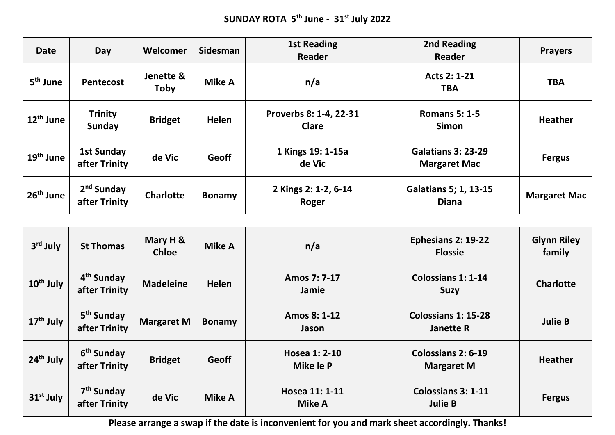| <b>Date</b>           | Day                                | Welcomer          | <b>Sidesman</b> | <b>1st Reading</b><br><b>Reader</b>    | 2nd Reading<br>Reader                            | <b>Prayers</b>      |
|-----------------------|------------------------------------|-------------------|-----------------|----------------------------------------|--------------------------------------------------|---------------------|
| 5 <sup>th</sup> June  | Pentecost                          | Jenette &<br>Toby | Mike A          | n/a                                    | Acts 2: 1-21<br>TBA                              |                     |
| $12th$ June           | <b>Trinity</b><br>Sunday           | <b>Bridget</b>    | <b>Helen</b>    | Proverbs 8: 1-4, 22-31<br><b>Clare</b> | <b>Romans 5: 1-5</b><br><b>Simon</b>             | <b>Heather</b>      |
| $19th$ June           | <b>1st Sunday</b><br>after Trinity | de Vic            | <b>Geoff</b>    | 1 Kings 19: 1-15a<br>de Vic            | <b>Galatians 3: 23-29</b><br><b>Margaret Mac</b> | <b>Fergus</b>       |
| 26 <sup>th</sup> June | $2nd$ Sunday<br>after Trinity      | <b>Charlotte</b>  | <b>Bonamy</b>   | 2 Kings 2: 1-2, 6-14<br>Roger          | <b>Galatians 5; 1, 13-15</b><br><b>Diana</b>     | <b>Margaret Mac</b> |

| 3 <sup>rd</sup> July  | <b>St Thomas</b>                        | Mary H &<br><b>Chloe</b> | Mike A        | n/a                             | Ephesians 2: 19-22<br><b>Flossie</b>           | <b>Glynn Riley</b><br>family |
|-----------------------|-----------------------------------------|--------------------------|---------------|---------------------------------|------------------------------------------------|------------------------------|
| 10 <sup>th</sup> July | 4 <sup>th</sup> Sunday<br>after Trinity | <b>Madeleine</b>         | Helen         | Amos 7: 7-17<br>Jamie           | <b>Colossians 1: 1-14</b><br><b>Suzy</b>       | <b>Charlotte</b>             |
| $17th$ July           | 5 <sup>th</sup> Sunday<br>after Trinity | <b>Margaret M</b>        | <b>Bonamy</b> | Amos 8: 1-12<br>Jason           | <b>Colossians 1: 15-28</b><br><b>Janette R</b> | <b>Julie B</b>               |
| 24 <sup>th</sup> July | 6 <sup>th</sup> Sunday<br>after Trinity | <b>Bridget</b>           | Geoff         | Hosea 1: 2-10<br>Mike le P      | Colossians 2: 6-19<br><b>Margaret M</b>        | <b>Heather</b>               |
| $31st$ July           | 7 <sup>th</sup> Sunday<br>after Trinity | de Vic                   | <b>Mike A</b> | Hosea 11: 1-11<br><b>Mike A</b> | <b>Colossians 3: 1-11</b><br><b>Julie B</b>    | <b>Fergus</b>                |

**Please arrange a swap if the date is inconvenient for you and mark sheet accordingly. Thanks!**